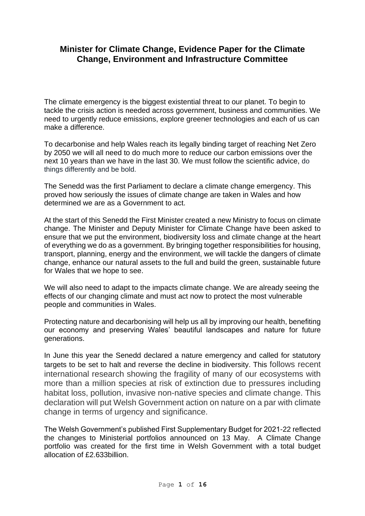# **Minister for Climate Change, Evidence Paper for the Climate Change, Environment and Infrastructure Committee**

The climate emergency is the biggest existential threat to our planet. To begin to tackle the crisis action is needed across government, business and communities. We need to urgently reduce emissions, explore greener technologies and each of us can make a difference.

To decarbonise and help Wales reach its legally binding target of reaching Net Zero by 2050 we will all need to do much more to reduce our carbon emissions over the next 10 years than we have in the last 30. We must follow the scientific advice, do things differently and be bold.

The Senedd was the first Parliament to declare a climate change emergency. This proved how seriously the issues of climate change are taken in Wales and how determined we are as a Government to act.

At the start of this Senedd the First Minister created a new Ministry to focus on climate change. The Minister and Deputy Minister for Climate Change have been asked to ensure that we put the environment, biodiversity loss and climate change at the heart of everything we do as a government. By bringing together responsibilities for housing, transport, planning, energy and the environment, we will tackle the dangers of climate change, enhance our natural assets to the full and build the green, sustainable future for Wales that we hope to see.

We will also need to adapt to the impacts climate change. We are already seeing the effects of our changing climate and must act now to protect the most vulnerable people and communities in Wales.

Protecting nature and decarbonising will help us all by improving our health, benefiting our economy and preserving Wales' beautiful landscapes and nature for future generations.

In June this year the Senedd declared a nature emergency and called for statutory targets to be set to halt and reverse the decline in biodiversity. This follows recent international research showing the fragility of many of our ecosystems with more than a million species at risk of extinction due to pressures including habitat loss, pollution, invasive non-native species and climate change. This declaration will put Welsh Government action on nature on a par with climate change in terms of urgency and significance.

The Welsh Government's published First Supplementary Budget for 2021-22 reflected the changes to Ministerial portfolios announced on 13 May. A Climate Change portfolio was created for the first time in Welsh Government with a total budget allocation of £2.633billion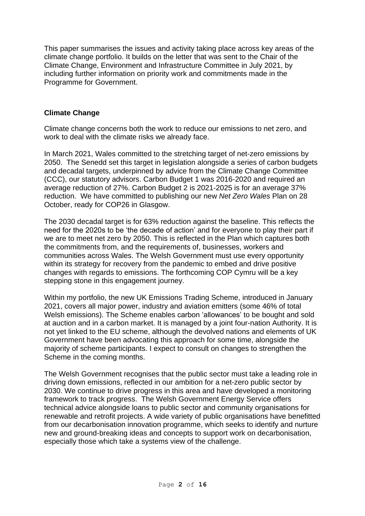This paper summarises the issues and activity taking place across key areas of the climate change portfolio. It builds on the letter that was sent to the Chair of the Climate Change, Environment and Infrastructure Committee in July 2021, by including further information on priority work and commitments made in the Programme for Government.

### **Climate Change**

Climate change concerns both the work to reduce our emissions to net zero, and work to deal with the climate risks we already face.

In March 2021, Wales committed to the stretching target of net-zero emissions by 2050. The Senedd set this target in legislation alongside a series of carbon budgets and decadal targets, underpinned by advice from the Climate Change Committee (CCC), our statutory advisors. Carbon Budget 1 was 2016-2020 and required an average reduction of 27%. Carbon Budget 2 is 2021-2025 is for an average 37% reduction. We have committed to publishing our new *Net Zero Wales* Plan on 28 October, ready for COP26 in Glasgow.

The 2030 decadal target is for 63% reduction against the baseline. This reflects the need for the 2020s to be 'the decade of action' and for everyone to play their part if we are to meet net zero by 2050. This is reflected in the Plan which captures both the commitments from, and the requirements of, businesses, workers and communities across Wales. The Welsh Government must use every opportunity within its strategy for recovery from the pandemic to embed and drive positive changes with regards to emissions. The forthcoming COP Cymru will be a key stepping stone in this engagement journey.

Within my portfolio, the new UK Emissions Trading Scheme, introduced in January 2021, covers all major power, industry and aviation emitters (some 46% of total Welsh emissions). The Scheme enables carbon 'allowances' to be bought and sold at auction and in a carbon market. It is managed by a joint four-nation Authority. It is not yet linked to the EU scheme, although the devolved nations and elements of UK Government have been advocating this approach for some time, alongside the majority of scheme participants. I expect to consult on changes to strengthen the Scheme in the coming months.

The Welsh Government recognises that the public sector must take a leading role in driving down emissions, reflected in our ambition for a net-zero public sector by 2030. We continue to drive progress in this area and have developed a monitoring framework to track progress. The Welsh Government Energy Service offers technical advice alongside loans to public sector and community organisations for renewable and retrofit projects. A wide variety of public organisations have benefitted from our decarbonisation innovation programme, which seeks to identify and nurture new and ground-breaking ideas and concepts to support work on decarbonisation, especially those which take a systems view of the challenge.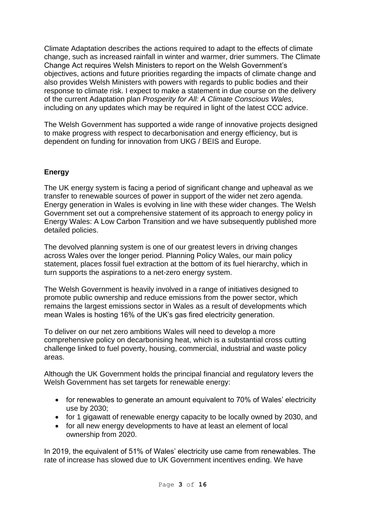Climate Adaptation describes the actions required to adapt to the effects of climate change, such as increased rainfall in winter and warmer, drier summers. The Climate Change Act requires Welsh Ministers to report on the Welsh Government's objectives, actions and future priorities regarding the impacts of climate change and also provides Welsh Ministers with powers with regards to public bodies and their response to climate risk. I expect to make a statement in due course on the delivery of the current Adaptation plan *Prosperity for All: A Climate Conscious Wales*, including on any updates which may be required in light of the latest CCC advice.

The Welsh Government has supported a wide range of innovative projects designed to make progress with respect to decarbonisation and energy efficiency, but is dependent on funding for innovation from UKG / BEIS and Europe.

## **Energy**

The UK energy system is facing a period of significant change and upheaval as we transfer to renewable sources of power in support of the wider net zero agenda. Energy generation in Wales is evolving in line with these wider changes. The Welsh Government set out a comprehensive statement of its approach to energy policy in Energy Wales: A Low Carbon Transition and we have subsequently published more detailed policies.

The devolved planning system is one of our greatest levers in driving changes across Wales over the longer period. Planning Policy Wales, our main policy statement, places fossil fuel extraction at the bottom of its fuel hierarchy, which in turn supports the aspirations to a net-zero energy system.

The Welsh Government is heavily involved in a range of initiatives designed to promote public ownership and reduce emissions from the power sector, which remains the largest emissions sector in Wales as a result of developments which mean Wales is hosting 16% of the UK's gas fired electricity generation.

To deliver on our net zero ambitions Wales will need to develop a more comprehensive policy on decarbonising heat, which is a substantial cross cutting challenge linked to fuel poverty, housing, commercial, industrial and waste policy areas.

Although the UK Government holds the principal financial and regulatory levers the Welsh Government has set targets for renewable energy:

- for renewables to generate an amount equivalent to 70% of Wales' electricity use by 2030;
- for 1 gigawatt of renewable energy capacity to be locally owned by 2030, and
- for all new energy developments to have at least an element of local ownership from 2020.

In 2019, the equivalent of 51% of Wales' electricity use came from renewables. The rate of increase has slowed due to UK Government incentives ending. We have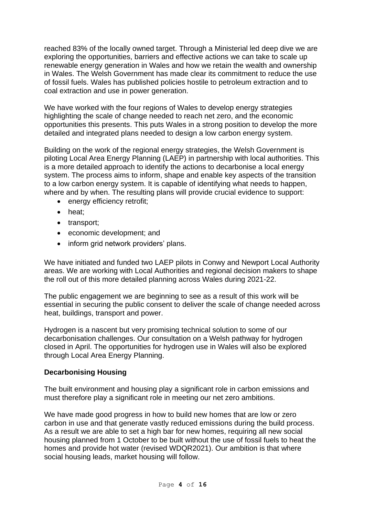reached 83% of the locally owned target. Through a Ministerial led deep dive we are exploring the opportunities, barriers and effective actions we can take to scale up renewable energy generation in Wales and how we retain the wealth and ownership in Wales. The Welsh Government has made clear its commitment to reduce the use of fossil fuels. Wales has published policies hostile to petroleum extraction and to coal extraction and use in power generation.

We have worked with the four regions of Wales to develop energy strategies highlighting the scale of change needed to reach net zero, and the economic opportunities this presents. This puts Wales in a strong position to develop the more detailed and integrated plans needed to design a low carbon energy system.

Building on the work of the regional energy strategies, the Welsh Government is piloting Local Area Energy Planning (LAEP) in partnership with local authorities. This is a more detailed approach to identify the actions to decarbonise a local energy system. The process aims to inform, shape and enable key aspects of the transition to a low carbon energy system. It is capable of identifying what needs to happen, where and by when. The resulting plans will provide crucial evidence to support:

- energy efficiency retrofit;
- heat:
- transport;
- economic development; and
- inform grid network providers' plans.

We have initiated and funded two LAEP pilots in Conwy and Newport Local Authority areas. We are working with Local Authorities and regional decision makers to shape the roll out of this more detailed planning across Wales during 2021-22.

The public engagement we are beginning to see as a result of this work will be essential in securing the public consent to deliver the scale of change needed across heat, buildings, transport and power.

Hydrogen is a nascent but very promising technical solution to some of our decarbonisation challenges. Our consultation on a Welsh pathway for hydrogen closed in April. The opportunities for hydrogen use in Wales will also be explored through Local Area Energy Planning.

### **Decarbonising Housing**

The built environment and housing play a significant role in carbon emissions and must therefore play a significant role in meeting our net zero ambitions.

We have made good progress in how to build new homes that are low or zero carbon in use and that generate vastly reduced emissions during the build process. As a result we are able to set a high bar for new homes, requiring all new social housing planned from 1 October to be built without the use of fossil fuels to heat the homes and provide hot water (revised WDQR2021). Our ambition is that where social housing leads, market housing will follow.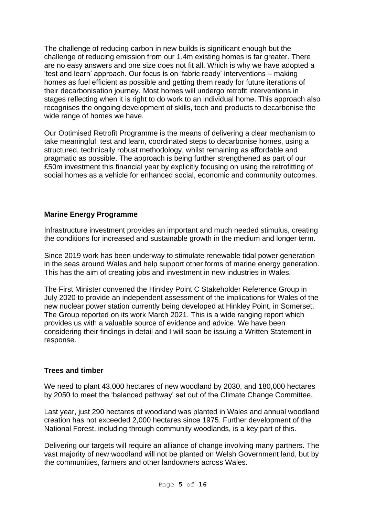The challenge of reducing carbon in new builds is significant enough but the challenge of reducing emission from our 1.4m existing homes is far greater. There are no easy answers and one size does not fit all. Which is why we have adopted a 'test and learn' approach. Our focus is on 'fabric ready' interventions – making homes as fuel efficient as possible and getting them ready for future iterations of their decarbonisation journey. Most homes will undergo retrofit interventions in stages reflecting when it is right to do work to an individual home. This approach also recognises the ongoing development of skills, tech and products to decarbonise the wide range of homes we have.

Our Optimised Retrofit Programme is the means of delivering a clear mechanism to take meaningful, test and learn, coordinated steps to decarbonise homes, using a structured, technically robust methodology, whilst remaining as affordable and pragmatic as possible. The approach is being further strengthened as part of our £50m investment this financial year by explicitly focusing on using the retrofitting of social homes as a vehicle for enhanced social, economic and community outcomes.

## **Marine Energy Programme**

Infrastructure investment provides an important and much needed stimulus, creating the conditions for increased and sustainable growth in the medium and longer term.

Since 2019 work has been underway to stimulate renewable tidal power generation in the seas around Wales and help support other forms of marine energy generation. This has the aim of creating jobs and investment in new industries in Wales.

The First Minister convened the Hinkley Point C Stakeholder Reference Group in July 2020 to provide an independent assessment of the implications for Wales of the new nuclear power station currently being developed at Hinkley Point, in Somerset. The Group reported on its work March 2021. This is a wide ranging report which provides us with a valuable source of evidence and advice. We have been considering their findings in detail and I will soon be issuing a Written Statement in response.

## **Trees and timber**

We need to plant 43,000 hectares of new woodland by 2030, and 180,000 hectares by 2050 to meet the 'balanced pathway' set out of the Climate Change Committee.

Last year, just 290 hectares of woodland was planted in Wales and annual woodland creation has not exceeded 2,000 hectares since 1975. Further development of the National Forest, including through community woodlands, is a key part of this.

Delivering our targets will require an alliance of change involving many partners. The vast majority of new woodland will not be planted on Welsh Government land, but by the communities, farmers and other landowners across Wales.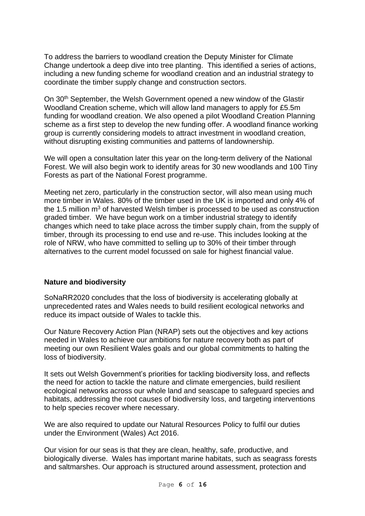To address the barriers to woodland creation the Deputy Minister for Climate Change undertook a deep dive into tree planting. This identified a series of actions, including a new funding scheme for woodland creation and an industrial strategy to coordinate the timber supply change and construction sectors.

On 30<sup>th</sup> September, the Welsh Government opened a new window of the Glastir Woodland Creation scheme, which will allow land managers to apply for £5.5m funding for woodland creation. We also opened a pilot Woodland Creation Planning scheme as a first step to develop the new funding offer. A woodland finance working group is currently considering models to attract investment in woodland creation, without disrupting existing communities and patterns of landownership.

We will open a consultation later this year on the long-term delivery of the National Forest. We will also begin work to identify areas for 30 new woodlands and 100 Tiny Forests as part of the National Forest programme.

Meeting net zero, particularly in the construction sector, will also mean using much more timber in Wales. 80% of the timber used in the UK is imported and only 4% of the 1.5 million  $m<sup>3</sup>$  of harvested Welsh timber is processed to be used as construction graded timber. We have begun work on a timber industrial strategy to identify changes which need to take place across the timber supply chain, from the supply of timber, through its processing to end use and re-use. This includes looking at the role of NRW, who have committed to selling up to 30% of their timber through alternatives to the current model focussed on sale for highest financial value.

### **Nature and biodiversity**

SoNaRR2020 concludes that the loss of biodiversity is accelerating globally at unprecedented rates and Wales needs to build resilient ecological networks and reduce its impact outside of Wales to tackle this.

Our Nature Recovery Action Plan (NRAP) sets out the objectives and key actions needed in Wales to achieve our ambitions for nature recovery both as part of meeting our own Resilient Wales goals and our global commitments to halting the loss of biodiversity.

It sets out Welsh Government's priorities for tackling biodiversity loss, and reflects the need for action to tackle the nature and climate emergencies, build resilient ecological networks across our whole land and seascape to safeguard species and habitats, addressing the root causes of biodiversity loss, and targeting interventions to help species recover where necessary.

We are also required to update our Natural Resources Policy to fulfil our duties under the Environment (Wales) Act 2016.

Our vision for our seas is that they are clean, healthy, safe, productive, and biologically diverse. Wales has important marine habitats, such as seagrass forests and saltmarshes. Our approach is structured around assessment, protection and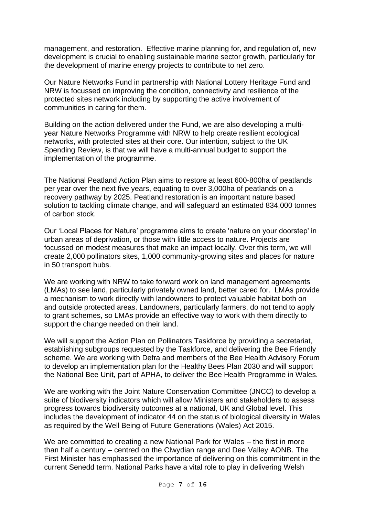management, and restoration. Effective marine planning for, and regulation of, new development is crucial to enabling sustainable marine sector growth, particularly for the development of marine energy projects to contribute to net zero.

Our Nature Networks Fund in partnership with National Lottery Heritage Fund and NRW is focussed on improving the condition, connectivity and resilience of the protected sites network including by supporting the active involvement of communities in caring for them.

Building on the action delivered under the Fund, we are also developing a multiyear Nature Networks Programme with NRW to help create resilient ecological networks, with protected sites at their core. Our intention, subject to the UK Spending Review, is that we will have a multi-annual budget to support the implementation of the programme.

The National Peatland Action Plan aims to restore at least 600-800ha of peatlands per year over the next five years, equating to over 3,000ha of peatlands on a recovery pathway by 2025. Peatland restoration is an important nature based solution to tackling climate change, and will safeguard an estimated 834,000 tonnes of carbon stock.

Our 'Local Places for Nature' programme aims to create 'nature on your doorstep' in urban areas of deprivation, or those with little access to nature. Projects are focussed on modest measures that make an impact locally. Over this term, we will create 2,000 pollinators sites, 1,000 community-growing sites and places for nature in 50 transport hubs.

We are working with NRW to take forward work on land management agreements (LMAs) to see land, particularly privately owned land, better cared for. LMAs provide a mechanism to work directly with landowners to protect valuable habitat both on and outside protected areas. Landowners, particularly farmers, do not tend to apply to grant schemes, so LMAs provide an effective way to work with them directly to support the change needed on their land.

We will support the Action Plan on Pollinators Taskforce by providing a secretariat, establishing subgroups requested by the Taskforce, and delivering the Bee Friendly scheme. We are working with Defra and members of the Bee Health Advisory Forum to develop an implementation plan for the Healthy Bees Plan 2030 and will support the National Bee Unit, part of APHA, to deliver the Bee Health Programme in Wales.

We are working with the Joint Nature Conservation Committee (JNCC) to develop a suite of biodiversity indicators which will allow Ministers and stakeholders to assess progress towards biodiversity outcomes at a national, UK and Global level. This includes the development of indicator 44 on the status of biological diversity in Wales as required by the Well Being of Future Generations (Wales) Act 2015.

We are committed to creating a new National Park for Wales – the first in more than half a century – centred on the Clwydian range and Dee Valley AONB. The First Minister has emphasised the importance of delivering on this commitment in the current Senedd term. National Parks have a vital role to play in delivering Welsh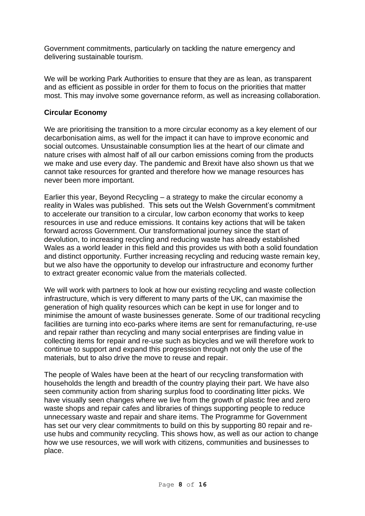Government commitments, particularly on tackling the nature emergency and delivering sustainable tourism.

We will be working Park Authorities to ensure that they are as lean, as transparent and as efficient as possible in order for them to focus on the priorities that matter most. This may involve some governance reform, as well as increasing collaboration.

### **Circular Economy**

We are prioritising the transition to a more circular economy as a key element of our decarbonisation aims, as well for the impact it can have to improve economic and social outcomes. Unsustainable consumption lies at the heart of our climate and nature crises with almost half of all our carbon emissions coming from the products we make and use every day. The pandemic and Brexit have also shown us that we cannot take resources for granted and therefore how we manage resources has never been more important.

Earlier this year, Beyond Recycling – a strategy to make the circular economy a reality in Wales was published. This sets out the Welsh Government's commitment to accelerate our transition to a circular, low carbon economy that works to keep resources in use and reduce emissions. It contains key actions that will be taken forward across Government. Our transformational journey since the start of devolution, to increasing recycling and reducing waste has already established Wales as a world leader in this field and this provides us with both a solid foundation and distinct opportunity. Further increasing recycling and reducing waste remain key, but we also have the opportunity to develop our infrastructure and economy further to extract greater economic value from the materials collected.

We will work with partners to look at how our existing recycling and waste collection infrastructure, which is very different to many parts of the UK, can maximise the generation of high quality resources which can be kept in use for longer and to minimise the amount of waste businesses generate. Some of our traditional recycling facilities are turning into eco-parks where items are sent for remanufacturing, re-use and repair rather than recycling and many social enterprises are finding value in collecting items for repair and re-use such as bicycles and we will therefore work to continue to support and expand this progression through not only the use of the materials, but to also drive the move to reuse and repair.

The people of Wales have been at the heart of our recycling transformation with households the length and breadth of the country playing their part. We have also seen community action from sharing surplus food to coordinating litter picks. We have visually seen changes where we live from the growth of plastic free and zero waste shops and repair cafes and libraries of things supporting people to reduce unnecessary waste and repair and share items. The Programme for Government has set our very clear commitments to build on this by supporting 80 repair and reuse hubs and community recycling. This shows how, as well as our action to change how we use resources, we will work with citizens, communities and businesses to place.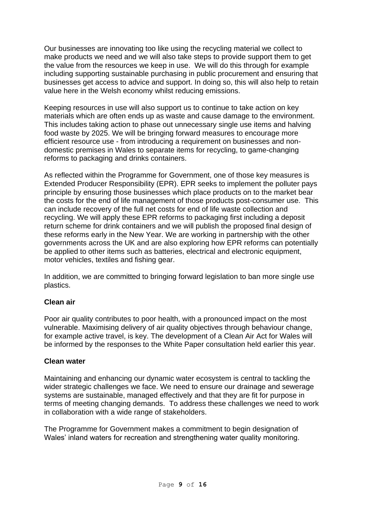Our businesses are innovating too like using the recycling material we collect to make products we need and we will also take steps to provide support them to get the value from the resources we keep in use. We will do this through for example including supporting sustainable purchasing in public procurement and ensuring that businesses get access to advice and support. In doing so, this will also help to retain value here in the Welsh economy whilst reducing emissions.

Keeping resources in use will also support us to continue to take action on key materials which are often ends up as waste and cause damage to the environment. This includes taking action to phase out unnecessary single use items and halving food waste by 2025. We will be bringing forward measures to encourage more efficient resource use - from introducing a requirement on businesses and nondomestic premises in Wales to separate items for recycling, to game-changing reforms to packaging and drinks containers.

As reflected within the Programme for Government, one of those key measures is Extended Producer Responsibility (EPR). EPR seeks to implement the polluter pays principle by ensuring those businesses which place products on to the market bear the costs for the end of life management of those products post-consumer use. This can include recovery of the full net costs for end of life waste collection and recycling. We will apply these EPR reforms to packaging first including a deposit return scheme for drink containers and we will publish the proposed final design of these reforms early in the New Year. We are working in partnership with the other governments across the UK and are also exploring how EPR reforms can potentially be applied to other items such as batteries, electrical and electronic equipment, motor vehicles, textiles and fishing gear.

In addition, we are committed to bringing forward legislation to ban more single use plastics.

### **Clean air**

Poor air quality contributes to poor health, with a pronounced impact on the most vulnerable. Maximising delivery of air quality objectives through behaviour change, for example active travel, is key. The development of a Clean Air Act for Wales will be informed by the responses to the White Paper consultation held earlier this year.

### **Clean water**

Maintaining and enhancing our dynamic water ecosystem is central to tackling the wider strategic challenges we face. We need to ensure our drainage and sewerage systems are sustainable, managed effectively and that they are fit for purpose in terms of meeting changing demands. To address these challenges we need to work in collaboration with a wide range of stakeholders.

The Programme for Government makes a commitment to begin designation of Wales' inland waters for recreation and strengthening water quality monitoring.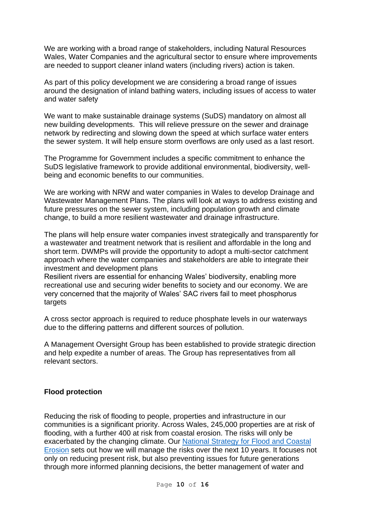We are working with a broad range of stakeholders, including Natural Resources Wales, Water Companies and the agricultural sector to ensure where improvements are needed to support cleaner inland waters (including rivers) action is taken.

As part of this policy development we are considering a broad range of issues around the designation of inland bathing waters, including issues of access to water and water safety

We want to make sustainable drainage systems (SuDS) mandatory on almost all new building developments. This will relieve pressure on the sewer and drainage network by redirecting and slowing down the speed at which surface water enters the sewer system. It will help ensure storm overflows are only used as a last resort.

The Programme for Government includes a specific commitment to enhance the SuDS legislative framework to provide additional environmental, biodiversity, wellbeing and economic benefits to our communities.

We are working with NRW and water companies in Wales to develop Drainage and Wastewater Management Plans. The plans will look at ways to address existing and future pressures on the sewer system, including population growth and climate change, to build a more resilient wastewater and drainage infrastructure.

The plans will help ensure water companies invest strategically and transparently for a wastewater and treatment network that is resilient and affordable in the long and short term. DWMPs will provide the opportunity to adopt a multi-sector catchment approach where the water companies and stakeholders are able to integrate their investment and development plans

Resilient rivers are essential for enhancing Wales' biodiversity, enabling more recreational use and securing wider benefits to society and our economy. We are very concerned that the majority of Wales' SAC rivers fail to meet phosphorus targets

A cross sector approach is required to reduce phosphate levels in our waterways due to the differing patterns and different sources of pollution.

A Management Oversight Group has been established to provide strategic direction and help expedite a number of areas. The Group has representatives from all relevant sectors.

#### **Flood protection**

Reducing the risk of flooding to people, properties and infrastructure in our communities is a significant priority. Across Wales, 245,000 properties are at risk of flooding, with a further 400 at risk from coastal erosion. The risks will only be exacerbated by the changing climate. Our [National Strategy for Flood and Coastal](https://gov.wales/national-strategy-flood-and-coastal-erosion-risk-management-wales)  [Erosion](https://gov.wales/national-strategy-flood-and-coastal-erosion-risk-management-wales) sets out how we will manage the risks over the next 10 years. It focuses not only on reducing present risk, but also preventing issues for future generations through more informed planning decisions, the better management of water and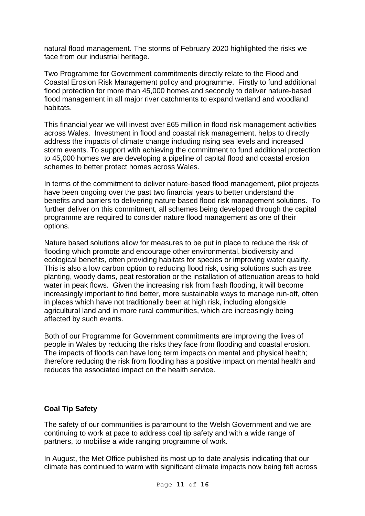natural flood management. The storms of February 2020 highlighted the risks we face from our industrial heritage.

Two Programme for Government commitments directly relate to the Flood and Coastal Erosion Risk Management policy and programme. Firstly to fund additional flood protection for more than 45,000 homes and secondly to deliver nature-based flood management in all major river catchments to expand wetland and woodland habitats.

This financial year we will invest over £65 million in flood risk management activities across Wales. Investment in flood and coastal risk management, helps to directly address the impacts of climate change including rising sea levels and increased storm events. To support with achieving the commitment to fund additional protection to 45,000 homes we are developing a pipeline of capital flood and coastal erosion schemes to better protect homes across Wales.

In terms of the commitment to deliver nature-based flood management, pilot projects have been ongoing over the past two financial years to better understand the benefits and barriers to delivering nature based flood risk management solutions. To further deliver on this commitment, all schemes being developed through the capital programme are required to consider nature flood management as one of their options.

Nature based solutions allow for measures to be put in place to reduce the risk of flooding which promote and encourage other environmental, biodiversity and ecological benefits, often providing habitats for species or improving water quality. This is also a low carbon option to reducing flood risk, using solutions such as tree planting, woody dams, peat restoration or the installation of attenuation areas to hold water in peak flows. Given the increasing risk from flash flooding, it will become increasingly important to find better, more sustainable ways to manage run-off, often in places which have not traditionally been at high risk, including alongside agricultural land and in more rural communities, which are increasingly being affected by such events.

Both of our Programme for Government commitments are improving the lives of people in Wales by reducing the risks they face from flooding and coastal erosion. The impacts of floods can have long term impacts on mental and physical health; therefore reducing the risk from flooding has a positive impact on mental health and reduces the associated impact on the health service.

## **Coal Tip Safety**

The safety of our communities is paramount to the Welsh Government and we are continuing to work at pace to address coal tip safety and with a wide range of partners, to mobilise a wide ranging programme of work.

In August, the Met Office published its most up to date analysis indicating that our climate has continued to warm with significant climate impacts now being felt across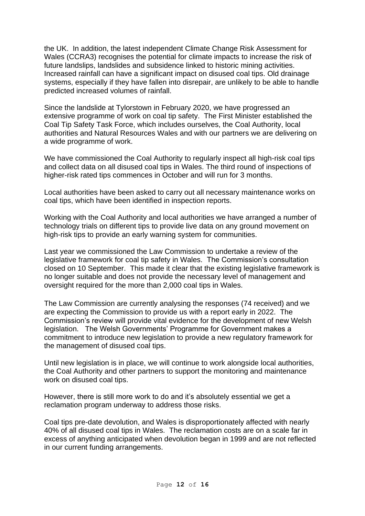the UK. In addition, the latest independent Climate Change Risk Assessment for Wales (CCRA3) recognises the potential for climate impacts to increase the risk of future landslips, landslides and subsidence linked to historic mining activities. Increased rainfall can have a significant impact on disused coal tips. Old drainage systems, especially if they have fallen into disrepair, are unlikely to be able to handle predicted increased volumes of rainfall.

Since the landslide at Tylorstown in February 2020, we have progressed an extensive programme of work on coal tip safety. The First Minister established the Coal Tip Safety Task Force, which includes ourselves, the Coal Authority, local authorities and Natural Resources Wales and with our partners we are delivering on a wide programme of work.

We have commissioned the Coal Authority to regularly inspect all high-risk coal tips and collect data on all disused coal tips in Wales. The third round of inspections of higher-risk rated tips commences in October and will run for 3 months.

Local authorities have been asked to carry out all necessary maintenance works on coal tips, which have been identified in inspection reports.

Working with the Coal Authority and local authorities we have arranged a number of technology trials on different tips to provide live data on any ground movement on high-risk tips to provide an early warning system for communities.

Last year we commissioned the Law Commission to undertake a review of the legislative framework for coal tip safety in Wales. The Commission's consultation closed on 10 September. This made it clear that the existing legislative framework is no longer suitable and does not provide the necessary level of management and oversight required for the more than 2,000 coal tips in Wales.

The Law Commission are currently analysing the responses (74 received) and we are expecting the Commission to provide us with a report early in 2022. The Commission's review will provide vital evidence for the development of new Welsh legislation. The Welsh Governments' Programme for Government makes a commitment to introduce new legislation to provide a new regulatory framework for the management of disused coal tips.

Until new legislation is in place, we will continue to work alongside local authorities, the Coal Authority and other partners to support the monitoring and maintenance work on disused coal tips.

However, there is still more work to do and it's absolutely essential we get a reclamation program underway to address those risks.

Coal tips pre-date devolution, and Wales is disproportionately affected with nearly 40% of all disused coal tips in Wales. The reclamation costs are on a scale far in excess of anything anticipated when devolution began in 1999 and are not reflected in our current funding arrangements.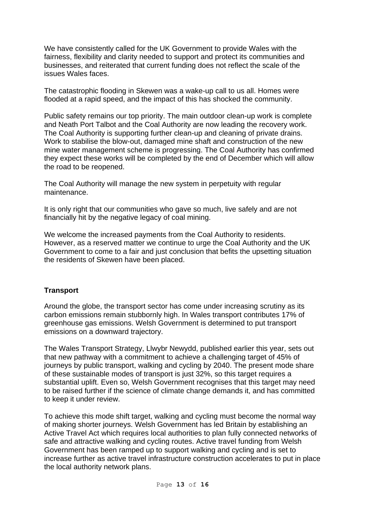We have consistently called for the UK Government to provide Wales with the fairness, flexibility and clarity needed to support and protect its communities and businesses, and reiterated that current funding does not reflect the scale of the issues Wales faces.

The catastrophic flooding in Skewen was a wake-up call to us all. Homes were flooded at a rapid speed, and the impact of this has shocked the community.

Public safety remains our top priority. The main outdoor clean-up work is complete and Neath Port Talbot and the Coal Authority are now leading the recovery work. The Coal Authority is supporting further clean-up and cleaning of private drains. Work to stabilise the blow-out, damaged mine shaft and construction of the new mine water management scheme is progressing. The Coal Authority has confirmed they expect these works will be completed by the end of December which will allow the road to be reopened.

The Coal Authority will manage the new system in perpetuity with regular maintenance.

It is only right that our communities who gave so much, live safely and are not financially hit by the negative legacy of coal mining.

We welcome the increased payments from the Coal Authority to residents. However, as a reserved matter we continue to urge the Coal Authority and the UK Government to come to a fair and just conclusion that befits the upsetting situation the residents of Skewen have been placed.

### **Transport**

Around the globe, the transport sector has come under increasing scrutiny as its carbon emissions remain stubbornly high. In Wales transport contributes 17% of greenhouse gas emissions. Welsh Government is determined to put transport emissions on a downward trajectory.

The Wales Transport Strategy, Llwybr Newydd, published earlier this year, sets out that new pathway with a commitment to achieve a challenging target of 45% of journeys by public transport, walking and cycling by 2040. The present mode share of these sustainable modes of transport is just 32%, so this target requires a substantial uplift. Even so, Welsh Government recognises that this target may need to be raised further if the science of climate change demands it, and has committed to keep it under review.

To achieve this mode shift target, walking and cycling must become the normal way of making shorter journeys. Welsh Government has led Britain by establishing an Active Travel Act which requires local authorities to plan fully connected networks of safe and attractive walking and cycling routes. Active travel funding from Welsh Government has been ramped up to support walking and cycling and is set to increase further as active travel infrastructure construction accelerates to put in place the local authority network plans.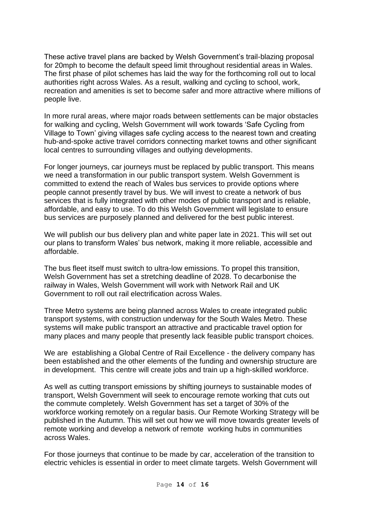These active travel plans are backed by Welsh Government's trail-blazing proposal for 20mph to become the default speed limit throughout residential areas in Wales. The first phase of pilot schemes has laid the way for the forthcoming roll out to local authorities right across Wales. As a result, walking and cycling to school, work, recreation and amenities is set to become safer and more attractive where millions of people live.

In more rural areas, where major roads between settlements can be major obstacles for walking and cycling, Welsh Government will work towards 'Safe Cycling from Village to Town' giving villages safe cycling access to the nearest town and creating hub-and-spoke active travel corridors connecting market towns and other significant local centres to surrounding villages and outlying developments.

For longer journeys, car journeys must be replaced by public transport. This means we need a transformation in our public transport system. Welsh Government is committed to extend the reach of Wales bus services to provide options where people cannot presently travel by bus. We will invest to create a network of bus services that is fully integrated with other modes of public transport and is reliable, affordable, and easy to use. To do this Welsh Government will legislate to ensure bus services are purposely planned and delivered for the best public interest.

We will publish our bus delivery plan and white paper late in 2021. This will set out our plans to transform Wales' bus network, making it more reliable, accessible and affordable.

The bus fleet itself must switch to ultra-low emissions. To propel this transition, Welsh Government has set a stretching deadline of 2028. To decarbonise the railway in Wales, Welsh Government will work with Network Rail and UK Government to roll out rail electrification across Wales.

Three Metro systems are being planned across Wales to create integrated public transport systems, with construction underway for the South Wales Metro. These systems will make public transport an attractive and practicable travel option for many places and many people that presently lack feasible public transport choices.

We are establishing a Global Centre of Rail Excellence - the delivery company has been established and the other elements of the funding and ownership structure are in development. This centre will create jobs and train up a high-skilled workforce.

As well as cutting transport emissions by shifting journeys to sustainable modes of transport, Welsh Government will seek to encourage remote working that cuts out the commute completely. Welsh Government has set a target of 30% of the workforce working remotely on a regular basis. Our Remote Working Strategy will be published in the Autumn. This will set out how we will move towards greater levels of remote working and develop a network of remote working hubs in communities across Wales.

For those journeys that continue to be made by car, acceleration of the transition to electric vehicles is essential in order to meet climate targets. Welsh Government will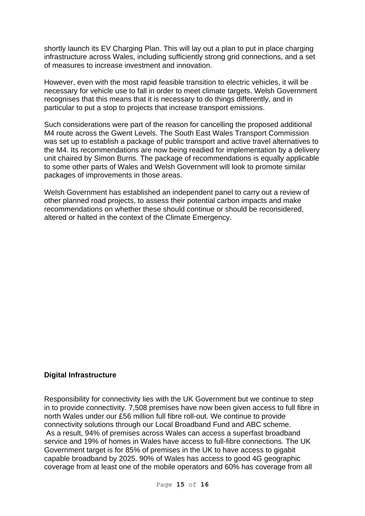shortly launch its EV Charging Plan. This will lay out a plan to put in place charging infrastructure across Wales, including sufficiently strong grid connections, and a set of measures to increase investment and innovation.

However, even with the most rapid feasible transition to electric vehicles, it will be necessary for vehicle use to fall in order to meet climate targets. Welsh Government recognises that this means that it is necessary to do things differently, and in particular to put a stop to projects that increase transport emissions.

Such considerations were part of the reason for cancelling the proposed additional M4 route across the Gwent Levels. The South East Wales Transport Commission was set up to establish a package of public transport and active travel alternatives to the M4. Its recommendations are now being readied for implementation by a delivery unit chaired by Simon Burns. The package of recommendations is equally applicable to some other parts of Wales and Welsh Government will look to promote similar packages of improvements in those areas.

Welsh Government has established an independent panel to carry out a review of other planned road projects, to assess their potential carbon impacts and make recommendations on whether these should continue or should be reconsidered, altered or halted in the context of the Climate Emergency.

### **Digital Infrastructure**

Responsibility for connectivity lies with the UK Government but we continue to step in to provide connectivity. 7,508 premises have now been given access to full fibre in north Wales under our £56 million full fibre roll-out. We continue to provide connectivity solutions through our Local Broadband Fund and ABC scheme. As a result, 94% of premises across Wales can access a superfast broadband service and 19% of homes in Wales have access to full-fibre connections. The UK Government target is for 85% of premises in the UK to have access to gigabit capable broadband by 2025. 90% of Wales has access to good 4G geographic coverage from at least one of the mobile operators and 60% has coverage from all